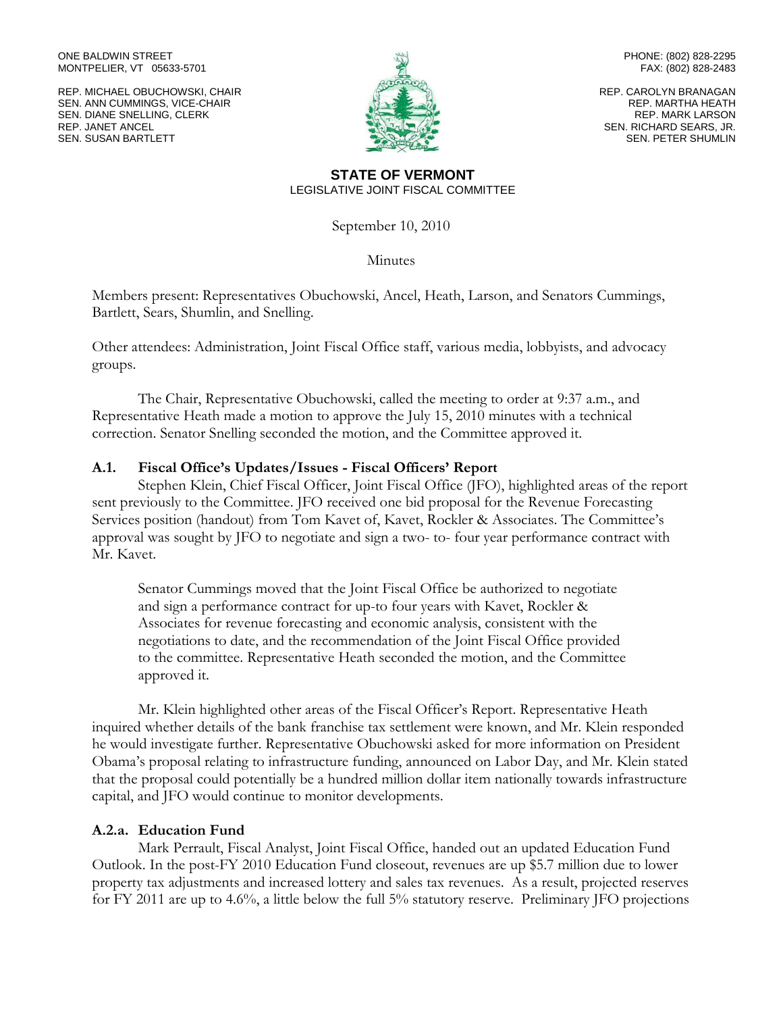ONE BALDWIN STREET MONTPELIER, VT 05633-5701

REP. MICHAEL OBUCHOWSKI, CHAIR SEN. ANN CUMMINGS, VICE-CHAIR SEN. DIANE SNELLING, CLERK REP. JANET ANCEL SEN. SUSAN BARTLETT



PHONE: (802) 828-2295 FAX: (802) 828-2483

REP. CAROLYN BRANAGAN REP. MARTHA HEATH REP. MARK LARSON SEN. RICHARD SEARS, JR. SEN. PETER SHUMLIN

#### **STATE OF VERMONT** LEGISLATIVE JOINT FISCAL COMMITTEE

September 10, 2010

**Minutes** 

Members present: Representatives Obuchowski, Ancel, Heath, Larson, and Senators Cummings, Bartlett, Sears, Shumlin, and Snelling.

Other attendees: Administration, Joint Fiscal Office staff, various media, lobbyists, and advocacy groups.

The Chair, Representative Obuchowski, called the meeting to order at 9:37 a.m., and Representative Heath made a motion to approve the July 15, 2010 minutes with a technical correction. Senator Snelling seconded the motion, and the Committee approved it.

# **A.1. Fiscal Office's Updates/Issues - Fiscal Officers' Report**

Stephen Klein, Chief Fiscal Officer, Joint Fiscal Office (JFO), highlighted areas of the report sent previously to the Committee. JFO received one bid proposal for the Revenue Forecasting Services position (handout) from Tom Kavet of, Kavet, Rockler & Associates. The Committee's approval was sought by JFO to negotiate and sign a two- to- four year performance contract with Mr. Kavet.

Senator Cummings moved that the Joint Fiscal Office be authorized to negotiate and sign a performance contract for up-to four years with Kavet, Rockler & Associates for revenue forecasting and economic analysis, consistent with the negotiations to date, and the recommendation of the Joint Fiscal Office provided to the committee. Representative Heath seconded the motion, and the Committee approved it.

Mr. Klein highlighted other areas of the Fiscal Officer's Report. Representative Heath inquired whether details of the bank franchise tax settlement were known, and Mr. Klein responded he would investigate further. Representative Obuchowski asked for more information on President Obama's proposal relating to infrastructure funding, announced on Labor Day, and Mr. Klein stated that the proposal could potentially be a hundred million dollar item nationally towards infrastructure capital, and JFO would continue to monitor developments.

### **A.2.a. Education Fund**

Mark Perrault, Fiscal Analyst, Joint Fiscal Office, handed out an updated Education Fund Outlook. In the post-FY 2010 Education Fund closeout, revenues are up \$5.7 million due to lower property tax adjustments and increased lottery and sales tax revenues. As a result, projected reserves for FY 2011 are up to 4.6%, a little below the full 5% statutory reserve. Preliminary JFO projections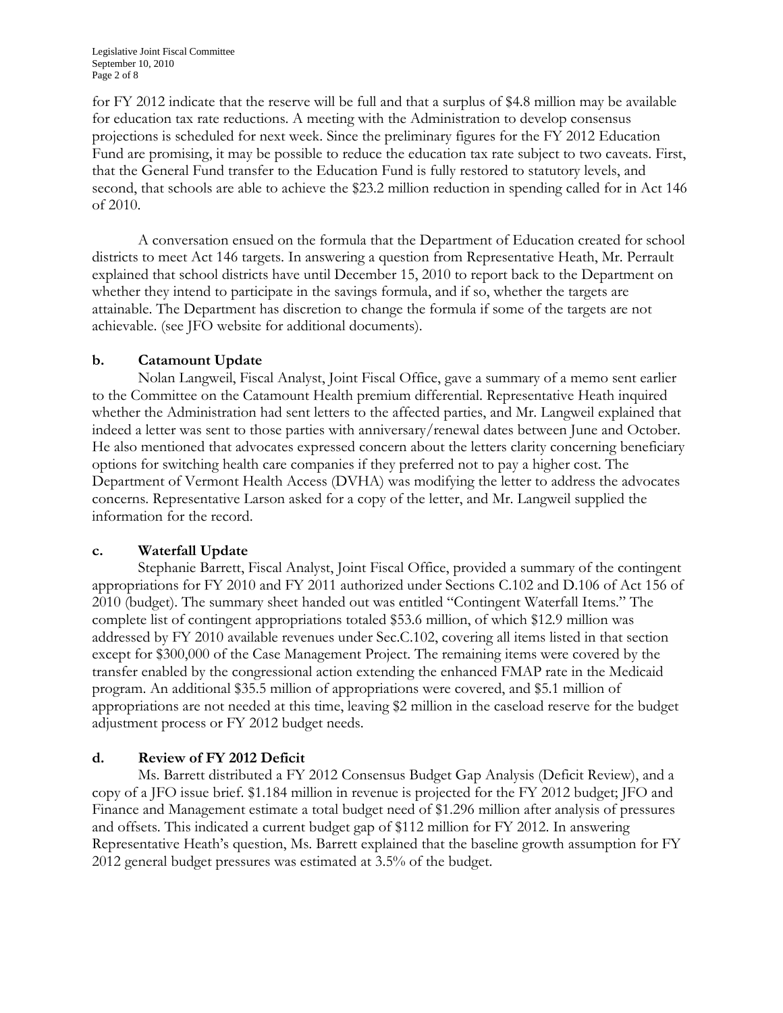for FY 2012 indicate that the reserve will be full and that a surplus of \$4.8 million may be available for education tax rate reductions. A meeting with the Administration to develop consensus projections is scheduled for next week. Since the preliminary figures for the FY 2012 Education Fund are promising, it may be possible to reduce the education tax rate subject to two caveats. First, that the General Fund transfer to the Education Fund is fully restored to statutory levels, and second, that schools are able to achieve the \$23.2 million reduction in spending called for in Act 146 of 2010.

A conversation ensued on the formula that the Department of Education created for school districts to meet Act 146 targets. In answering a question from Representative Heath, Mr. Perrault explained that school districts have until December 15, 2010 to report back to the Department on whether they intend to participate in the savings formula, and if so, whether the targets are attainable. The Department has discretion to change the formula if some of the targets are not achievable. (see JFO website for additional documents).

# **b. Catamount Update**

Nolan Langweil, Fiscal Analyst, Joint Fiscal Office, gave a summary of a memo sent earlier to the Committee on the Catamount Health premium differential. Representative Heath inquired whether the Administration had sent letters to the affected parties, and Mr. Langweil explained that indeed a letter was sent to those parties with anniversary/renewal dates between June and October. He also mentioned that advocates expressed concern about the letters clarity concerning beneficiary options for switching health care companies if they preferred not to pay a higher cost. The Department of Vermont Health Access (DVHA) was modifying the letter to address the advocates concerns. Representative Larson asked for a copy of the letter, and Mr. Langweil supplied the information for the record.

### **c. Waterfall Update**

Stephanie Barrett, Fiscal Analyst, Joint Fiscal Office, provided a summary of the contingent appropriations for FY 2010 and FY 2011 authorized under Sections C.102 and D.106 of Act 156 of 2010 (budget). The summary sheet handed out was entitled "Contingent Waterfall Items." The complete list of contingent appropriations totaled \$53.6 million, of which \$12.9 million was addressed by FY 2010 available revenues under Sec.C.102, covering all items listed in that section except for \$300,000 of the Case Management Project. The remaining items were covered by the transfer enabled by the congressional action extending the enhanced FMAP rate in the Medicaid program. An additional \$35.5 million of appropriations were covered, and \$5.1 million of appropriations are not needed at this time, leaving \$2 million in the caseload reserve for the budget adjustment process or FY 2012 budget needs.

# **d. Review of FY 2012 Deficit**

Ms. Barrett distributed a FY 2012 Consensus Budget Gap Analysis (Deficit Review), and a copy of a JFO issue brief. \$1.184 million in revenue is projected for the FY 2012 budget; JFO and Finance and Management estimate a total budget need of \$1.296 million after analysis of pressures and offsets. This indicated a current budget gap of \$112 million for FY 2012. In answering Representative Heath's question, Ms. Barrett explained that the baseline growth assumption for FY 2012 general budget pressures was estimated at 3.5% of the budget.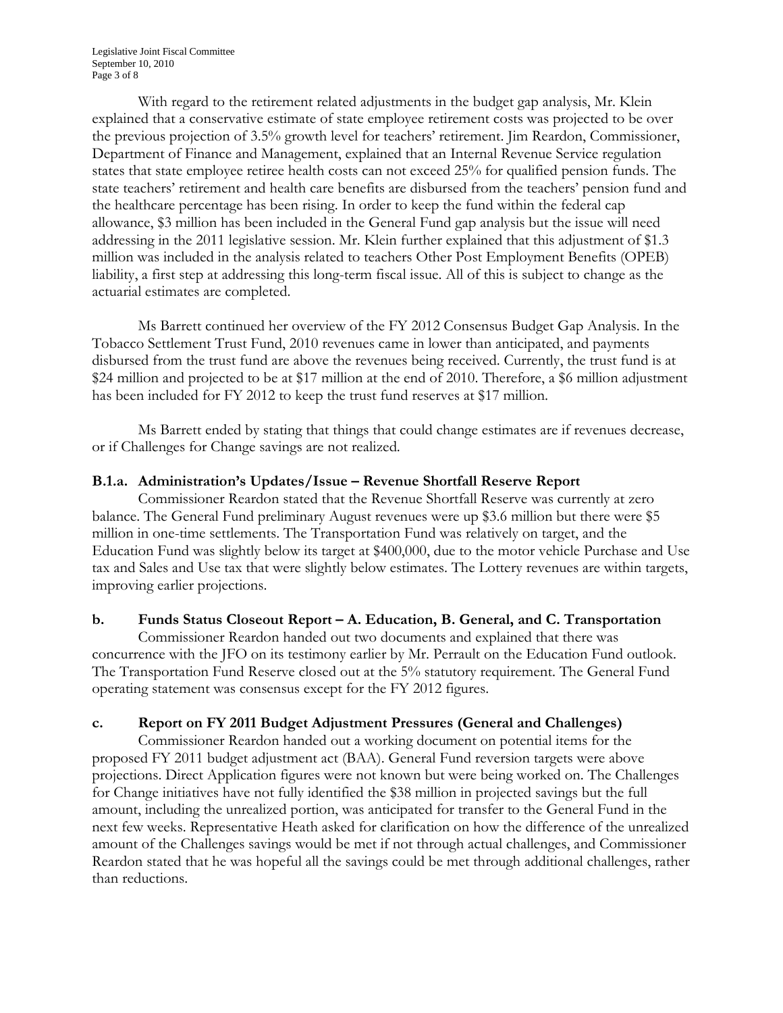With regard to the retirement related adjustments in the budget gap analysis, Mr. Klein explained that a conservative estimate of state employee retirement costs was projected to be over the previous projection of 3.5% growth level for teachers' retirement. Jim Reardon, Commissioner, Department of Finance and Management, explained that an Internal Revenue Service regulation states that state employee retiree health costs can not exceed 25% for qualified pension funds. The state teachers' retirement and health care benefits are disbursed from the teachers' pension fund and the healthcare percentage has been rising. In order to keep the fund within the federal cap allowance, \$3 million has been included in the General Fund gap analysis but the issue will need addressing in the 2011 legislative session. Mr. Klein further explained that this adjustment of \$1.3 million was included in the analysis related to teachers Other Post Employment Benefits (OPEB) liability, a first step at addressing this long-term fiscal issue. All of this is subject to change as the actuarial estimates are completed.

Ms Barrett continued her overview of the FY 2012 Consensus Budget Gap Analysis. In the Tobacco Settlement Trust Fund, 2010 revenues came in lower than anticipated, and payments disbursed from the trust fund are above the revenues being received. Currently, the trust fund is at \$24 million and projected to be at \$17 million at the end of 2010. Therefore, a \$6 million adjustment has been included for FY 2012 to keep the trust fund reserves at \$17 million.

Ms Barrett ended by stating that things that could change estimates are if revenues decrease, or if Challenges for Change savings are not realized.

### **B.1.a. Administration's Updates/Issue – Revenue Shortfall Reserve Report**

Commissioner Reardon stated that the Revenue Shortfall Reserve was currently at zero balance. The General Fund preliminary August revenues were up \$3.6 million but there were \$5 million in one-time settlements. The Transportation Fund was relatively on target, and the Education Fund was slightly below its target at \$400,000, due to the motor vehicle Purchase and Use tax and Sales and Use tax that were slightly below estimates. The Lottery revenues are within targets, improving earlier projections.

# **b. Funds Status Closeout Report – A. Education, B. General, and C. Transportation**

Commissioner Reardon handed out two documents and explained that there was concurrence with the JFO on its testimony earlier by Mr. Perrault on the Education Fund outlook. The Transportation Fund Reserve closed out at the 5% statutory requirement. The General Fund operating statement was consensus except for the FY 2012 figures.

# **c. Report on FY 2011 Budget Adjustment Pressures (General and Challenges)**

Commissioner Reardon handed out a working document on potential items for the proposed FY 2011 budget adjustment act (BAA). General Fund reversion targets were above projections. Direct Application figures were not known but were being worked on. The Challenges for Change initiatives have not fully identified the \$38 million in projected savings but the full amount, including the unrealized portion, was anticipated for transfer to the General Fund in the next few weeks. Representative Heath asked for clarification on how the difference of the unrealized amount of the Challenges savings would be met if not through actual challenges, and Commissioner Reardon stated that he was hopeful all the savings could be met through additional challenges, rather than reductions.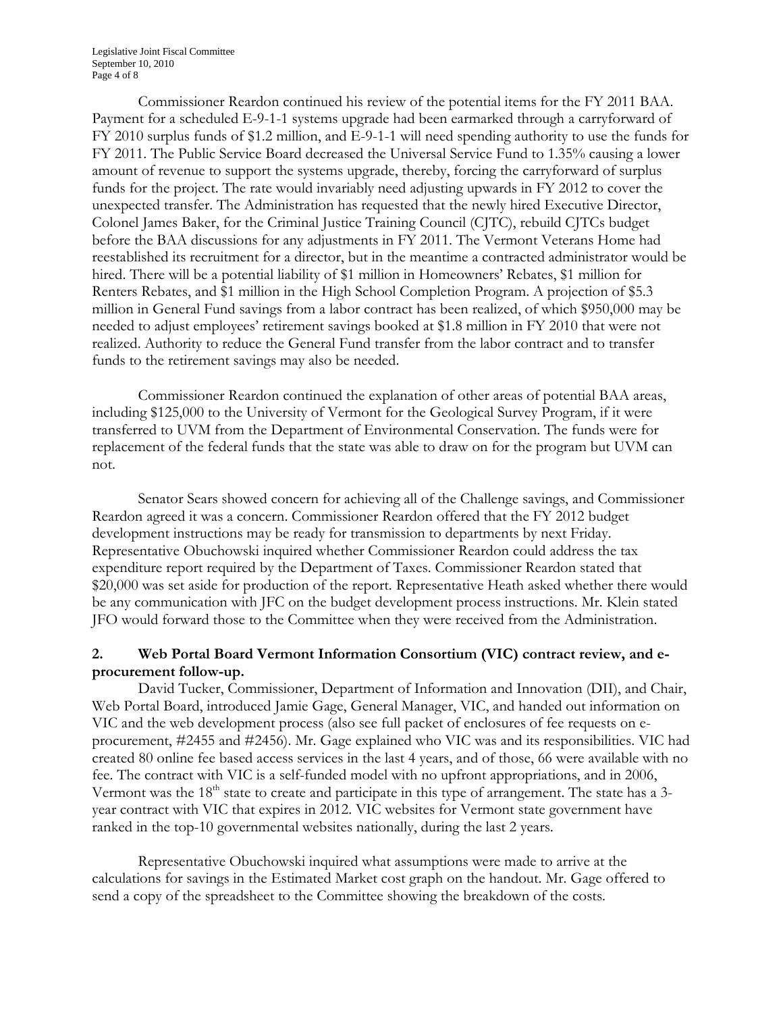Commissioner Reardon continued his review of the potential items for the FY 2011 BAA. Payment for a scheduled E-9-1-1 systems upgrade had been earmarked through a carryforward of FY 2010 surplus funds of \$1.2 million, and E-9-1-1 will need spending authority to use the funds for FY 2011. The Public Service Board decreased the Universal Service Fund to 1.35% causing a lower amount of revenue to support the systems upgrade, thereby, forcing the carryforward of surplus funds for the project. The rate would invariably need adjusting upwards in FY 2012 to cover the unexpected transfer. The Administration has requested that the newly hired Executive Director, Colonel James Baker, for the Criminal Justice Training Council (CJTC), rebuild CJTCs budget before the BAA discussions for any adjustments in FY 2011. The Vermont Veterans Home had reestablished its recruitment for a director, but in the meantime a contracted administrator would be hired. There will be a potential liability of \$1 million in Homeowners' Rebates, \$1 million for Renters Rebates, and \$1 million in the High School Completion Program. A projection of \$5.3 million in General Fund savings from a labor contract has been realized, of which \$950,000 may be needed to adjust employees' retirement savings booked at \$1.8 million in FY 2010 that were not realized. Authority to reduce the General Fund transfer from the labor contract and to transfer funds to the retirement savings may also be needed.

Commissioner Reardon continued the explanation of other areas of potential BAA areas, including \$125,000 to the University of Vermont for the Geological Survey Program, if it were transferred to UVM from the Department of Environmental Conservation. The funds were for replacement of the federal funds that the state was able to draw on for the program but UVM can not.

Senator Sears showed concern for achieving all of the Challenge savings, and Commissioner Reardon agreed it was a concern. Commissioner Reardon offered that the FY 2012 budget development instructions may be ready for transmission to departments by next Friday. Representative Obuchowski inquired whether Commissioner Reardon could address the tax expenditure report required by the Department of Taxes. Commissioner Reardon stated that \$20,000 was set aside for production of the report. Representative Heath asked whether there would be any communication with JFC on the budget development process instructions. Mr. Klein stated JFO would forward those to the Committee when they were received from the Administration.

# **2. Web Portal Board Vermont Information Consortium (VIC) contract review, and eprocurement follow-up.**

David Tucker, Commissioner, Department of Information and Innovation (DII), and Chair, Web Portal Board, introduced Jamie Gage, General Manager, VIC, and handed out information on VIC and the web development process (also see full packet of enclosures of fee requests on eprocurement, #2455 and #2456). Mr. Gage explained who VIC was and its responsibilities. VIC had created 80 online fee based access services in the last 4 years, and of those, 66 were available with no fee. The contract with VIC is a self-funded model with no upfront appropriations, and in 2006, Vermont was the 18<sup>th</sup> state to create and participate in this type of arrangement. The state has a 3year contract with VIC that expires in 2012. VIC websites for Vermont state government have ranked in the top-10 governmental websites nationally, during the last 2 years.

Representative Obuchowski inquired what assumptions were made to arrive at the calculations for savings in the Estimated Market cost graph on the handout. Mr. Gage offered to send a copy of the spreadsheet to the Committee showing the breakdown of the costs.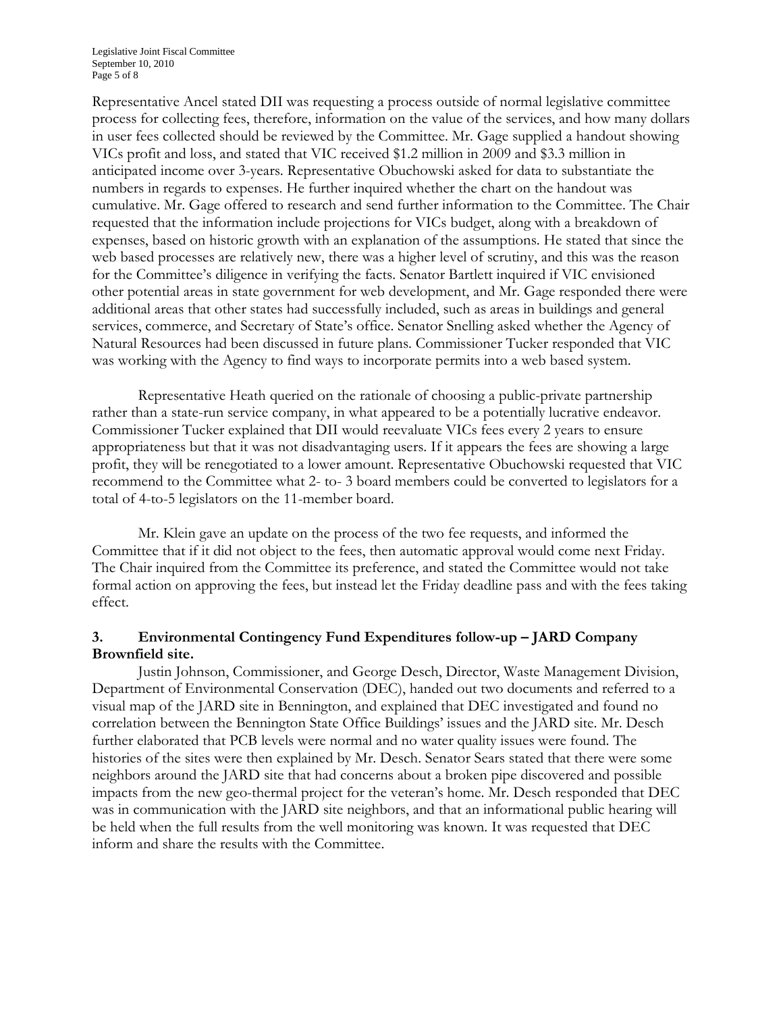Representative Ancel stated DII was requesting a process outside of normal legislative committee process for collecting fees, therefore, information on the value of the services, and how many dollars in user fees collected should be reviewed by the Committee. Mr. Gage supplied a handout showing VICs profit and loss, and stated that VIC received \$1.2 million in 2009 and \$3.3 million in anticipated income over 3-years. Representative Obuchowski asked for data to substantiate the numbers in regards to expenses. He further inquired whether the chart on the handout was cumulative. Mr. Gage offered to research and send further information to the Committee. The Chair requested that the information include projections for VICs budget, along with a breakdown of expenses, based on historic growth with an explanation of the assumptions. He stated that since the web based processes are relatively new, there was a higher level of scrutiny, and this was the reason for the Committee's diligence in verifying the facts. Senator Bartlett inquired if VIC envisioned other potential areas in state government for web development, and Mr. Gage responded there were additional areas that other states had successfully included, such as areas in buildings and general services, commerce, and Secretary of State's office. Senator Snelling asked whether the Agency of Natural Resources had been discussed in future plans. Commissioner Tucker responded that VIC was working with the Agency to find ways to incorporate permits into a web based system.

Representative Heath queried on the rationale of choosing a public-private partnership rather than a state-run service company, in what appeared to be a potentially lucrative endeavor. Commissioner Tucker explained that DII would reevaluate VICs fees every 2 years to ensure appropriateness but that it was not disadvantaging users. If it appears the fees are showing a large profit, they will be renegotiated to a lower amount. Representative Obuchowski requested that VIC recommend to the Committee what 2- to- 3 board members could be converted to legislators for a total of 4-to-5 legislators on the 11-member board.

Mr. Klein gave an update on the process of the two fee requests, and informed the Committee that if it did not object to the fees, then automatic approval would come next Friday. The Chair inquired from the Committee its preference, and stated the Committee would not take formal action on approving the fees, but instead let the Friday deadline pass and with the fees taking effect.

# **3. Environmental Contingency Fund Expenditures follow-up – JARD Company Brownfield site.**

Justin Johnson, Commissioner, and George Desch, Director, Waste Management Division, Department of Environmental Conservation (DEC), handed out two documents and referred to a visual map of the JARD site in Bennington, and explained that DEC investigated and found no correlation between the Bennington State Office Buildings' issues and the JARD site. Mr. Desch further elaborated that PCB levels were normal and no water quality issues were found. The histories of the sites were then explained by Mr. Desch. Senator Sears stated that there were some neighbors around the JARD site that had concerns about a broken pipe discovered and possible impacts from the new geo-thermal project for the veteran's home. Mr. Desch responded that DEC was in communication with the JARD site neighbors, and that an informational public hearing will be held when the full results from the well monitoring was known. It was requested that DEC inform and share the results with the Committee.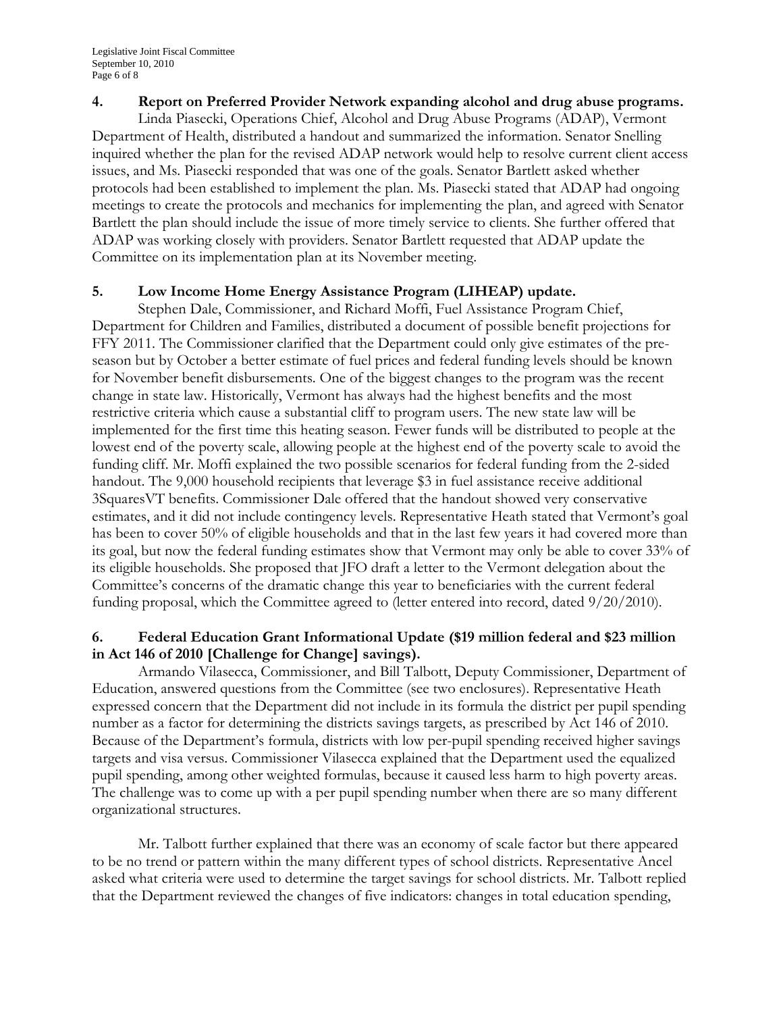#### **4. Report on Preferred Provider Network expanding alcohol and drug abuse programs.**

Linda Piasecki, Operations Chief, Alcohol and Drug Abuse Programs (ADAP), Vermont Department of Health, distributed a handout and summarized the information. Senator Snelling inquired whether the plan for the revised ADAP network would help to resolve current client access issues, and Ms. Piasecki responded that was one of the goals. Senator Bartlett asked whether protocols had been established to implement the plan. Ms. Piasecki stated that ADAP had ongoing meetings to create the protocols and mechanics for implementing the plan, and agreed with Senator Bartlett the plan should include the issue of more timely service to clients. She further offered that ADAP was working closely with providers. Senator Bartlett requested that ADAP update the Committee on its implementation plan at its November meeting.

# **5. Low Income Home Energy Assistance Program (LIHEAP) update.**

Stephen Dale, Commissioner, and Richard Moffi, Fuel Assistance Program Chief, Department for Children and Families, distributed a document of possible benefit projections for FFY 2011. The Commissioner clarified that the Department could only give estimates of the preseason but by October a better estimate of fuel prices and federal funding levels should be known for November benefit disbursements. One of the biggest changes to the program was the recent change in state law. Historically, Vermont has always had the highest benefits and the most restrictive criteria which cause a substantial cliff to program users. The new state law will be implemented for the first time this heating season. Fewer funds will be distributed to people at the lowest end of the poverty scale, allowing people at the highest end of the poverty scale to avoid the funding cliff. Mr. Moffi explained the two possible scenarios for federal funding from the 2-sided handout. The 9,000 household recipients that leverage \$3 in fuel assistance receive additional 3SquaresVT benefits. Commissioner Dale offered that the handout showed very conservative estimates, and it did not include contingency levels. Representative Heath stated that Vermont's goal has been to cover 50% of eligible households and that in the last few years it had covered more than its goal, but now the federal funding estimates show that Vermont may only be able to cover 33% of its eligible households. She proposed that JFO draft a letter to the Vermont delegation about the Committee's concerns of the dramatic change this year to beneficiaries with the current federal funding proposal, which the Committee agreed to (letter entered into record, dated 9/20/2010).

# **6. Federal Education Grant Informational Update (\$19 million federal and \$23 million in Act 146 of 2010 [Challenge for Change] savings).**

Armando Vilasecca, Commissioner, and Bill Talbott, Deputy Commissioner, Department of Education, answered questions from the Committee (see two enclosures). Representative Heath expressed concern that the Department did not include in its formula the district per pupil spending number as a factor for determining the districts savings targets, as prescribed by Act 146 of 2010. Because of the Department's formula, districts with low per-pupil spending received higher savings targets and visa versus. Commissioner Vilasecca explained that the Department used the equalized pupil spending, among other weighted formulas, because it caused less harm to high poverty areas. The challenge was to come up with a per pupil spending number when there are so many different organizational structures.

Mr. Talbott further explained that there was an economy of scale factor but there appeared to be no trend or pattern within the many different types of school districts. Representative Ancel asked what criteria were used to determine the target savings for school districts. Mr. Talbott replied that the Department reviewed the changes of five indicators: changes in total education spending,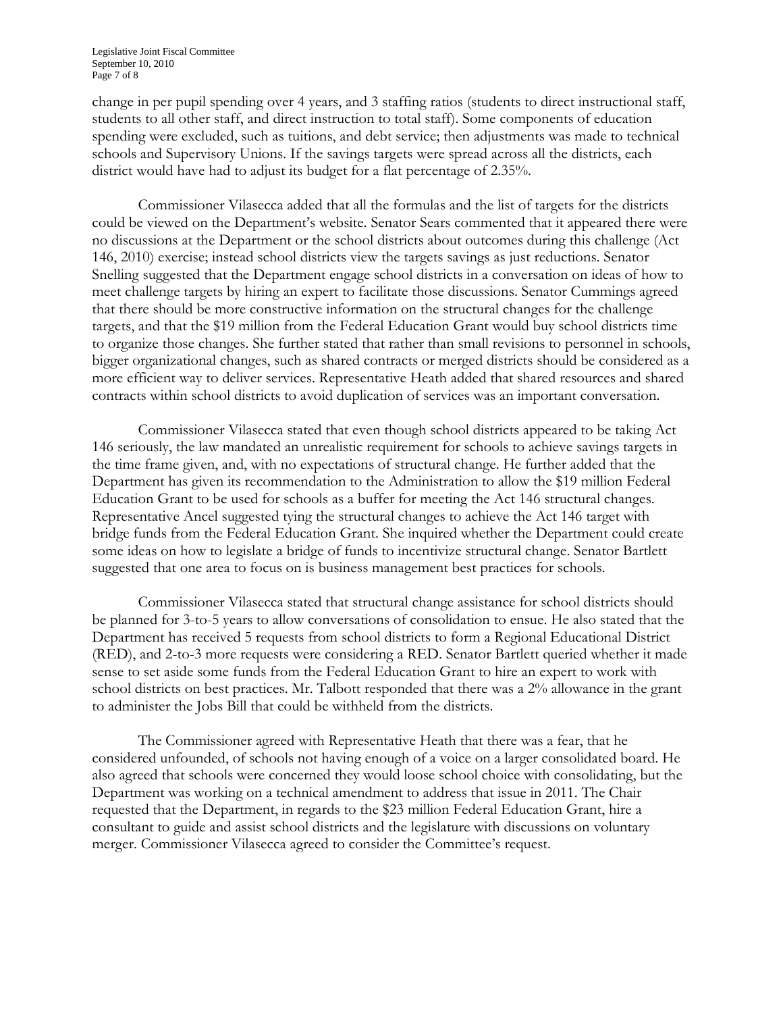change in per pupil spending over 4 years, and 3 staffing ratios (students to direct instructional staff, students to all other staff, and direct instruction to total staff). Some components of education spending were excluded, such as tuitions, and debt service; then adjustments was made to technical schools and Supervisory Unions. If the savings targets were spread across all the districts, each district would have had to adjust its budget for a flat percentage of 2.35%.

Commissioner Vilasecca added that all the formulas and the list of targets for the districts could be viewed on the Department's website. Senator Sears commented that it appeared there were no discussions at the Department or the school districts about outcomes during this challenge (Act 146, 2010) exercise; instead school districts view the targets savings as just reductions. Senator Snelling suggested that the Department engage school districts in a conversation on ideas of how to meet challenge targets by hiring an expert to facilitate those discussions. Senator Cummings agreed that there should be more constructive information on the structural changes for the challenge targets, and that the \$19 million from the Federal Education Grant would buy school districts time to organize those changes. She further stated that rather than small revisions to personnel in schools, bigger organizational changes, such as shared contracts or merged districts should be considered as a more efficient way to deliver services. Representative Heath added that shared resources and shared contracts within school districts to avoid duplication of services was an important conversation.

Commissioner Vilasecca stated that even though school districts appeared to be taking Act 146 seriously, the law mandated an unrealistic requirement for schools to achieve savings targets in the time frame given, and, with no expectations of structural change. He further added that the Department has given its recommendation to the Administration to allow the \$19 million Federal Education Grant to be used for schools as a buffer for meeting the Act 146 structural changes. Representative Ancel suggested tying the structural changes to achieve the Act 146 target with bridge funds from the Federal Education Grant. She inquired whether the Department could create some ideas on how to legislate a bridge of funds to incentivize structural change. Senator Bartlett suggested that one area to focus on is business management best practices for schools.

Commissioner Vilasecca stated that structural change assistance for school districts should be planned for 3-to-5 years to allow conversations of consolidation to ensue. He also stated that the Department has received 5 requests from school districts to form a Regional Educational District (RED), and 2-to-3 more requests were considering a RED. Senator Bartlett queried whether it made sense to set aside some funds from the Federal Education Grant to hire an expert to work with school districts on best practices. Mr. Talbott responded that there was a 2% allowance in the grant to administer the Jobs Bill that could be withheld from the districts.

The Commissioner agreed with Representative Heath that there was a fear, that he considered unfounded, of schools not having enough of a voice on a larger consolidated board. He also agreed that schools were concerned they would loose school choice with consolidating, but the Department was working on a technical amendment to address that issue in 2011. The Chair requested that the Department, in regards to the \$23 million Federal Education Grant, hire a consultant to guide and assist school districts and the legislature with discussions on voluntary merger. Commissioner Vilasecca agreed to consider the Committee's request.